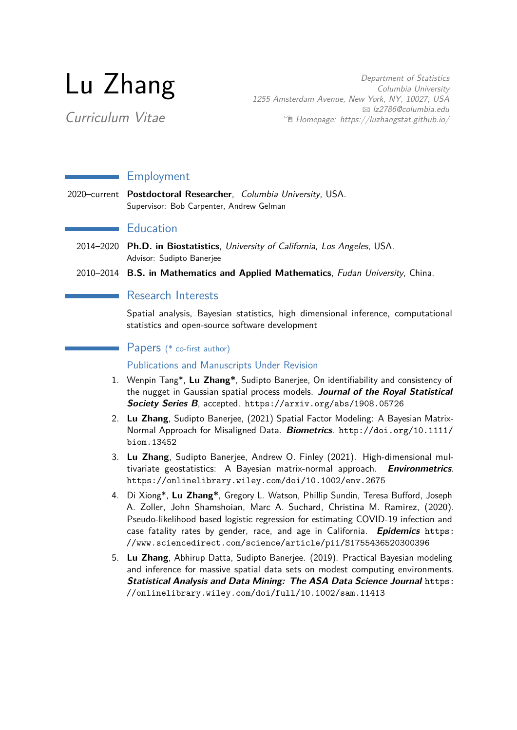# Lu Zhang

Curriculum Vitae

Department of Statistics Columbia University 1255 Amsterdam Avenue, New York, NY, 10027, USA B [lz2786@columbia.edu](mailto:lz2786@columbia.edu)  $\lceil \frac{m}{2} \rceil$  [Homepage: https://luzhangstat.github.io/](http://Homepage: https://luzhangstat.github.io/)

# **Employment**

2020–current **Postdoctoral Researcher**, Columbia University, USA. Supervisor: Bob Carpenter, Andrew Gelman

# **Education**

- 2014–2020 **Ph.D. in Biostatistics**, University of California, Los Angeles, USA. Advisor: Sudipto Banerjee
- 2010–2014 **B.S. in Mathematics and Applied Mathematics**, Fudan University, China.

## **Research Interests**

Spatial analysis, Bayesian statistics, high dimensional inference, computational statistics and open-source software development

#### Papers (\* co-first author)

Publications and Manuscripts Under Revision

- 1. Wenpin Tang\*, **Lu Zhang\***, Sudipto Banerjee, On identifiability and consistency of the nugget in Gaussian spatial process models. **Journal of the Royal Statistical Society Series B**, accepted. <https://arxiv.org/abs/1908.05726>
- 2. **Lu Zhang**, Sudipto Banerjee, (2021) Spatial Factor Modeling: A Bayesian Matrix-Normal Approach for Misaligned Data. **Biometrics**. [http://doi.org/10.1111/](http://doi.org/10.1111/biom.13452) [biom.13452](http://doi.org/10.1111/biom.13452)
- 3. **Lu Zhang**, Sudipto Banerjee, Andrew O. Finley (2021). High-dimensional multivariate geostatistics: A Bayesian matrix-normal approach. **Environmetrics**. <https://onlinelibrary.wiley.com/doi/10.1002/env.2675>
- 4. Di Xiong\*, **Lu Zhang\***, Gregory L. Watson, Phillip Sundin, Teresa Bufford, Joseph A. Zoller, John Shamshoian, Marc A. Suchard, Christina M. Ramirez, (2020). Pseudo-likelihood based logistic regression for estimating COVID-19 infection and case fatality rates by gender, race, and age in California. **Epidemics** [https:](https://www.sciencedirect.com/science/article/pii/S1755436520300396) [//www.sciencedirect.com/science/article/pii/S1755436520300396](https://www.sciencedirect.com/science/article/pii/S1755436520300396)
- 5. **Lu Zhang**, Abhirup Datta, Sudipto Banerjee. (2019). Practical Bayesian modeling and inference for massive spatial data sets on modest computing environments. **Statistical Analysis and Data Mining: The ASA Data Science Journal** [https:](https://onlinelibrary.wiley.com/doi/full/10.1002/sam.11413) [//onlinelibrary.wiley.com/doi/full/10.1002/sam.11413](https://onlinelibrary.wiley.com/doi/full/10.1002/sam.11413)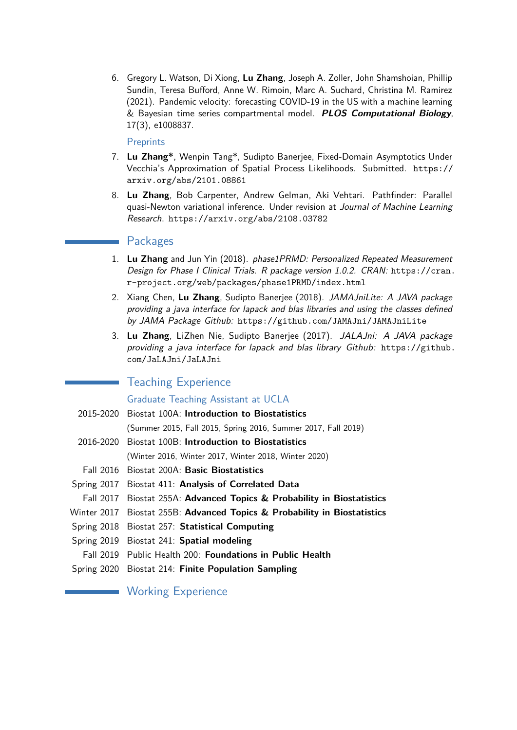6. Gregory L. Watson, Di Xiong, **Lu Zhang**, Joseph A. Zoller, John Shamshoian, Phillip Sundin, Teresa Bufford, Anne W. Rimoin, Marc A. Suchard, Christina M. Ramirez (2021). Pandemic velocity: forecasting COVID-19 in the US with a machine learning & Bayesian time series compartmental model. **PLOS Computational Biology**, 17(3), e1008837.

#### Preprints

- 7. **Lu Zhang\***, Wenpin Tang\*, Sudipto Banerjee, Fixed-Domain Asymptotics Under Vecchia's Approximation of Spatial Process Likelihoods. Submitted. [https://](https://arxiv.org/abs/2101.08861) [arxiv.org/abs/2101.08861](https://arxiv.org/abs/2101.08861)
- 8. **Lu Zhang**, Bob Carpenter, Andrew Gelman, Aki Vehtari. Pathfinder: Parallel quasi-Newton variational inference. Under revision at Journal of Machine Learning Research. <https://arxiv.org/abs/2108.03782>

#### Packages

- 1. **Lu Zhang** and Jun Yin (2018). phase1PRMD: Personalized Repeated Measurement Design for Phase I Clinical Trials. R package version 1.0.2. CRAN: [https://cran.](https://cran.r-project.org/web/packages/phase1PRMD/index.html) [r-project.org/web/packages/phase1PRMD/index.html](https://cran.r-project.org/web/packages/phase1PRMD/index.html)
- 2. Xiang Chen, **Lu Zhang**, Sudipto Banerjee (2018). JAMAJniLite: A JAVA package providing a java interface for lapack and blas libraries and using the classes defined by JAMA Package Github: <https://github.com/JAMAJni/JAMAJniLite>
- 3. **Lu Zhang**, LiZhen Nie, Sudipto Banerjee (2017). JALAJni: A JAVA package providing a java interface for lapack and blas library Github: [https://github.](https://github.com/JaLAJni/JaLAJni) [com/JaLAJni/JaLAJni](https://github.com/JaLAJni/JaLAJni)

# Teaching Experience

#### Graduate Teaching Assistant at UCLA

- 2015-2020 Biostat 100A: **Introduction to Biostatistics** (Summer 2015, Fall 2015, Spring 2016, Summer 2017, Fall 2019)
- 2016-2020 Biostat 100B: **Introduction to Biostatistics** (Winter 2016, Winter 2017, Winter 2018, Winter 2020)
- Fall 2016 Biostat 200A: **Basic Biostatistics**
- Spring 2017 Biostat 411: **Analysis of Correlated Data**
- Fall 2017 Biostat 255A: **Advanced Topics & Probability in Biostatistics**
- Winter 2017 Biostat 255B: **Advanced Topics & Probability in Biostatistics**
- Spring 2018 Biostat 257: **Statistical Computing**
- Spring 2019 Biostat 241: **Spatial modeling**
- Fall 2019 Public Health 200: **Foundations in Public Health**
- Spring 2020 Biostat 214: **Finite Population Sampling**

#### **Working Experience**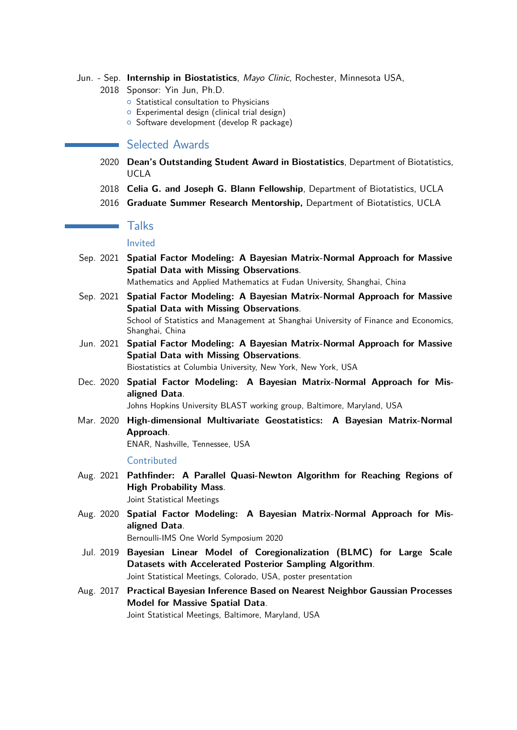- Jun. Sep. **Internship in Biostatistics**, Mayo Clinic, Rochester, Minnesota USA,
	- 2018 Sponsor: Yin Jun, Ph.D.
		- **o** Statistical consultation to Physicians
		- $\circ$  Experimental design (clinical trial design)
		- o Software development (develop R package)

# **Selected Awards**

- 2020 **Dean's Outstanding Student Award in Biostatistics**, Department of Biotatistics, UCLA
- 2018 **Celia G. and Joseph G. Blann Fellowship**, Department of Biotatistics, UCLA
- 2016 **Graduate Summer Research Mentorship,** Department of Biotatistics, UCLA

## Talks

#### Invited

- Sep. 2021 **Spatial Factor Modeling: A Bayesian Matrix-Normal Approach for Massive Spatial Data with Missing Observations**. Mathematics and Applied Mathematics at Fudan University, Shanghai, China
- Sep. 2021 **Spatial Factor Modeling: A Bayesian Matrix-Normal Approach for Massive Spatial Data with Missing Observations**. School of Statistics and Management at Shanghai University of Finance and Economics,
- Jun. 2021 **Spatial Factor Modeling: A Bayesian Matrix-Normal Approach for Massive Spatial Data with Missing Observations**.

Biostatistics at Columbia University, New York, New York, USA

Dec. 2020 **Spatial Factor Modeling: A Bayesian Matrix-Normal Approach for Misaligned Data**.

Johns Hopkins University BLAST working group, Baltimore, Maryland, USA

Mar. 2020 **High-dimensional Multivariate Geostatistics: A Bayesian Matrix-Normal Approach**.

ENAR, Nashville, Tennessee, USA

#### **Contributed**

Shanghai, China

Aug. 2021 **Pathfinder: A Parallel Quasi-Newton Algorithm for Reaching Regions of High Probability Mass**.

Joint Statistical Meetings

Aug. 2020 **Spatial Factor Modeling: A Bayesian Matrix-Normal Approach for Misaligned Data**.

Bernoulli-IMS One World Symposium 2020

- Jul. 2019 **Bayesian Linear Model of Coregionalization (BLMC) for Large Scale Datasets with Accelerated Posterior Sampling Algorithm**. Joint Statistical Meetings, Colorado, USA, poster presentation
- Aug. 2017 **Practical Bayesian Inference Based on Nearest Neighbor Gaussian Processes Model for Massive Spatial Data**. Joint Statistical Meetings, Baltimore, Maryland, USA